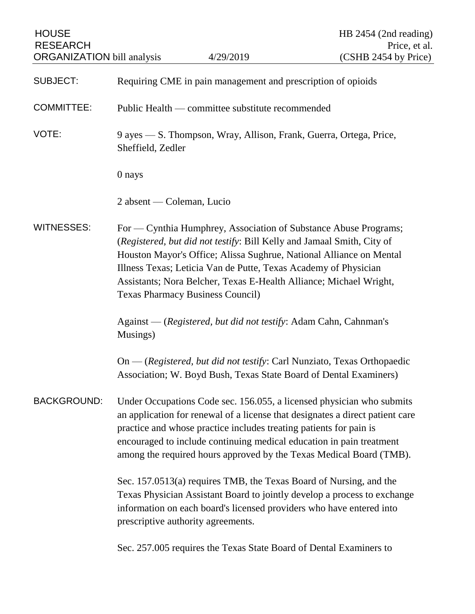| <b>HOUSE</b><br><b>RESEARCH</b>   |                                                                                                                                                                                                                                                                                                                                                                                                       |                                                                    | HB 2454 (2nd reading)<br>Price, et al.                                                                                                                                                                                                                                                                |  |
|-----------------------------------|-------------------------------------------------------------------------------------------------------------------------------------------------------------------------------------------------------------------------------------------------------------------------------------------------------------------------------------------------------------------------------------------------------|--------------------------------------------------------------------|-------------------------------------------------------------------------------------------------------------------------------------------------------------------------------------------------------------------------------------------------------------------------------------------------------|--|
| <b>ORGANIZATION</b> bill analysis |                                                                                                                                                                                                                                                                                                                                                                                                       | 4/29/2019                                                          | (CSHB 2454 by Price)                                                                                                                                                                                                                                                                                  |  |
| <b>SUBJECT:</b>                   | Requiring CME in pain management and prescription of opioids                                                                                                                                                                                                                                                                                                                                          |                                                                    |                                                                                                                                                                                                                                                                                                       |  |
| <b>COMMITTEE:</b>                 | Public Health — committee substitute recommended                                                                                                                                                                                                                                                                                                                                                      |                                                                    |                                                                                                                                                                                                                                                                                                       |  |
| VOTE:                             | 9 ayes — S. Thompson, Wray, Allison, Frank, Guerra, Ortega, Price,<br>Sheffield, Zedler                                                                                                                                                                                                                                                                                                               |                                                                    |                                                                                                                                                                                                                                                                                                       |  |
|                                   | 0 nays                                                                                                                                                                                                                                                                                                                                                                                                |                                                                    |                                                                                                                                                                                                                                                                                                       |  |
|                                   | 2 absent — Coleman, Lucio                                                                                                                                                                                                                                                                                                                                                                             |                                                                    |                                                                                                                                                                                                                                                                                                       |  |
| <b>WITNESSES:</b>                 | For — Cynthia Humphrey, Association of Substance Abuse Programs;<br>(Registered, but did not testify: Bill Kelly and Jamaal Smith, City of<br>Houston Mayor's Office; Alissa Sughrue, National Alliance on Mental<br>Illness Texas; Leticia Van de Putte, Texas Academy of Physician<br>Assistants; Nora Belcher, Texas E-Health Alliance; Michael Wright,<br><b>Texas Pharmacy Business Council)</b> |                                                                    |                                                                                                                                                                                                                                                                                                       |  |
|                                   | Against — (Registered, but did not testify: Adam Cahn, Cahnman's<br>Musings)                                                                                                                                                                                                                                                                                                                          |                                                                    |                                                                                                                                                                                                                                                                                                       |  |
|                                   |                                                                                                                                                                                                                                                                                                                                                                                                       |                                                                    | On — (Registered, but did not testify: Carl Nunziato, Texas Orthopaedic<br>Association; W. Boyd Bush, Texas State Board of Dental Examiners)                                                                                                                                                          |  |
| <b>BACKGROUND:</b>                |                                                                                                                                                                                                                                                                                                                                                                                                       | practice and whose practice includes treating patients for pain is | Under Occupations Code sec. 156.055, a licensed physician who submits<br>an application for renewal of a license that designates a direct patient care<br>encouraged to include continuing medical education in pain treatment<br>among the required hours approved by the Texas Medical Board (TMB). |  |
|                                   | Sec. 157.0513(a) requires TMB, the Texas Board of Nursing, and the<br>Texas Physician Assistant Board to jointly develop a process to exchange<br>information on each board's licensed providers who have entered into<br>prescriptive authority agreements.                                                                                                                                          |                                                                    |                                                                                                                                                                                                                                                                                                       |  |
|                                   |                                                                                                                                                                                                                                                                                                                                                                                                       |                                                                    | Sec. 257.005 requires the Texas State Board of Dental Examiners to                                                                                                                                                                                                                                    |  |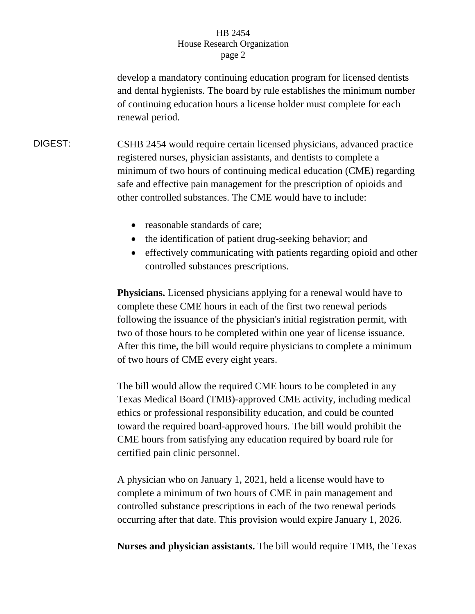## HB 2454 House Research Organization page 2

develop a mandatory continuing education program for licensed dentists and dental hygienists. The board by rule establishes the minimum number of continuing education hours a license holder must complete for each renewal period.

DIGEST: CSHB 2454 would require certain licensed physicians, advanced practice registered nurses, physician assistants, and dentists to complete a minimum of two hours of continuing medical education (CME) regarding safe and effective pain management for the prescription of opioids and other controlled substances. The CME would have to include:

- reasonable standards of care;
- the identification of patient drug-seeking behavior; and
- effectively communicating with patients regarding opioid and other controlled substances prescriptions.

**Physicians.** Licensed physicians applying for a renewal would have to complete these CME hours in each of the first two renewal periods following the issuance of the physician's initial registration permit, with two of those hours to be completed within one year of license issuance. After this time, the bill would require physicians to complete a minimum of two hours of CME every eight years.

The bill would allow the required CME hours to be completed in any Texas Medical Board (TMB)-approved CME activity, including medical ethics or professional responsibility education, and could be counted toward the required board-approved hours. The bill would prohibit the CME hours from satisfying any education required by board rule for certified pain clinic personnel.

A physician who on January 1, 2021, held a license would have to complete a minimum of two hours of CME in pain management and controlled substance prescriptions in each of the two renewal periods occurring after that date. This provision would expire January 1, 2026.

**Nurses and physician assistants.** The bill would require TMB, the Texas